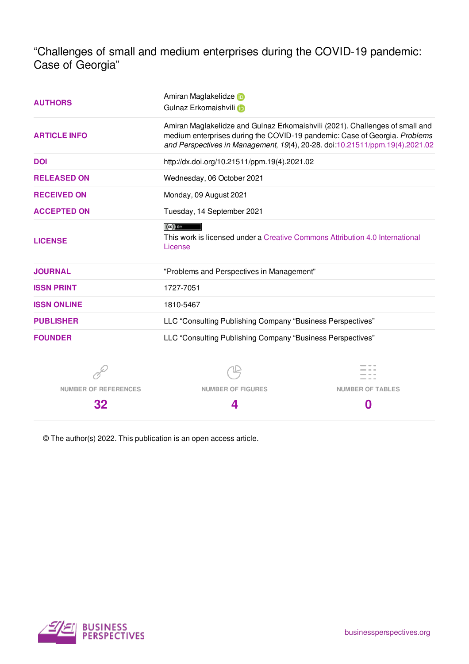"Challenges of small and medium enterprises during the COVID-19 pandemic: Case of Georgia"

| <b>AUTHORS</b>       | Amiran Maglakelidze in<br>Gulnaz Erkomaishvili                                                                                                                                                                                             |                         |
|----------------------|--------------------------------------------------------------------------------------------------------------------------------------------------------------------------------------------------------------------------------------------|-------------------------|
| <b>ARTICLE INFO</b>  | Amiran Maglakelidze and Gulnaz Erkomaishvili (2021). Challenges of small and<br>medium enterprises during the COVID-19 pandemic: Case of Georgia. Problems<br>and Perspectives in Management, 19(4), 20-28. doi:10.21511/ppm.19(4).2021.02 |                         |
| <b>DOI</b>           | http://dx.doi.org/10.21511/ppm.19(4).2021.02                                                                                                                                                                                               |                         |
| <b>RELEASED ON</b>   | Wednesday, 06 October 2021                                                                                                                                                                                                                 |                         |
| <b>RECEIVED ON</b>   | Monday, 09 August 2021                                                                                                                                                                                                                     |                         |
| <b>ACCEPTED ON</b>   | Tuesday, 14 September 2021                                                                                                                                                                                                                 |                         |
| <b>LICENSE</b>       | $(cc)$ by<br>This work is licensed under a Creative Commons Attribution 4.0 International<br>License                                                                                                                                       |                         |
| <b>JOURNAL</b>       | "Problems and Perspectives in Management"                                                                                                                                                                                                  |                         |
| <b>ISSN PRINT</b>    | 1727-7051                                                                                                                                                                                                                                  |                         |
| <b>ISSN ONLINE</b>   | 1810-5467                                                                                                                                                                                                                                  |                         |
| <b>PUBLISHER</b>     | LLC "Consulting Publishing Company "Business Perspectives"                                                                                                                                                                                 |                         |
| <b>FOUNDER</b>       | LLC "Consulting Publishing Company "Business Perspectives"                                                                                                                                                                                 |                         |
|                      |                                                                                                                                                                                                                                            |                         |
| NUMBER OF REFERENCES | <b>NUMBER OF FIGURES</b>                                                                                                                                                                                                                   | <b>NUMBER OF TABLES</b> |

**4**

© The author(s) 2022. This publication is an open access article.



**32**

**0**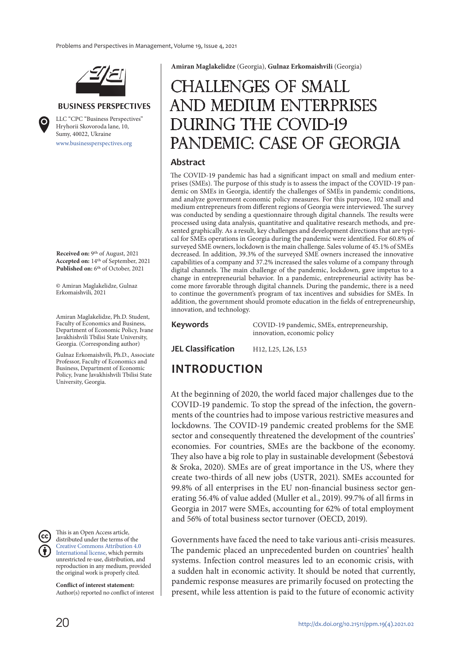

#### **BUSINESS PERSPECTIVES**

www.businessperspectives.org LLC "СPС "Business Perspectives" Hryhorii Skovoroda lane, 10, Sumy, 40022, Ukraine

**Received on:** 9th of August, 2021 **Accepted on:** 14th of September, 2021 Published on: 6<sup>th</sup> of October, 2021

© Amiran Maglakelidze, Gulnaz Erkomaishvili, 2021

Amiran Maglakelidze, Ph.D. Student, Faculty of Economics and Business, Department of Economic Policy, Ivane Javakhishvili Tbilisi State University, Georgia. (Corresponding author)

Gulnaz Erkomaishvili, Ph.D., Associate Professor, Faculty of Economics and Business, Department of Economic Policy, Ivane Javakhishvili Tbilisi State University, Georgia.

This is an Open Access article, distributed under the terms of the Creative Commons Attribution 4.0 International license, which permits unrestricted re-use, distribution, and reproduction in any medium, provided the original work is properly cited.

**Conflict of interest statement:**  Author(s) reported no conflict of interest **Amiran Maglakelidze** (Georgia), **Gulnaz Erkomaishvili** (Georgia)

# Challenges of small and medium enterprises during the COVID-19 pandemic: Case of Georgia

#### **Abstract**

The COVID-19 pandemic has had a significant impact on small and medium enterprises (SMEs). The purpose of this study is to assess the impact of the COVID-19 pandemic on SMEs in Georgia, identify the challenges of SMEs in pandemic conditions, and analyze government economic policy measures. For this purpose, 102 small and medium entrepreneurs from different regions of Georgia were interviewed. The survey was conducted by sending a questionnaire through digital channels. The results were processed using data analysis, quantitative and qualitative research methods, and presented graphically. As a result, key challenges and development directions that are typical for SMEs operations in Georgia during the pandemic were identified. For 60.8% of surveyed SME owners, lockdown is the main challenge. Sales volume of 45.1% of SMEs decreased. In addition, 39.3% of the surveyed SME owners increased the innovative capabilities of a company and 37.2% increased the sales volume of a company through digital channels. The main challenge of the pandemic, lockdown, gave impetus to a change in entrepreneurial behavior. In a pandemic, entrepreneurial activity has become more favorable through digital channels. During the pandemic, there is a need to continue the government's program of tax incentives and subsidies for SMEs. In addition, the government should promote education in the fields of entrepreneurship, innovation, and technology.

**Keywords** COVID-19 pandemic, SMEs, entrepreneurship, innovation, economic policy

**JEL Classification** H12, L25, L26, L53

#### **INTRODUCTION**

At the beginning of 2020, the world faced major challenges due to the COVID-19 pandemic. To stop the spread of the infection, the governments of the countries had to impose various restrictive measures and lockdowns. The COVID-19 pandemic created problems for the SME sector and consequently threatened the development of the countries' economies. For countries, SMEs are the backbone of the economy. They also have a big role to play in sustainable development (Šebestová & Sroka, 2020). SMEs are of great importance in the US, where they create two-thirds of all new jobs (USTR, 2021). SMEs accounted for 99.8% of all enterprises in the EU non-financial business sector generating 56.4% of value added (Muller et al., 2019). 99.7% of all firms in Georgia in 2017 were SMEs, accounting for 62% of total employment and 56% of total business sector turnover (OECD, 2019).

Governments have faced the need to take various anti-crisis measures. The pandemic placed an unprecedented burden on countries' health systems. Infection control measures led to an economic crisis, with a sudden halt in economic activity. It should be noted that currently, pandemic response measures are primarily focused on protecting the present, while less attention is paid to the future of economic activity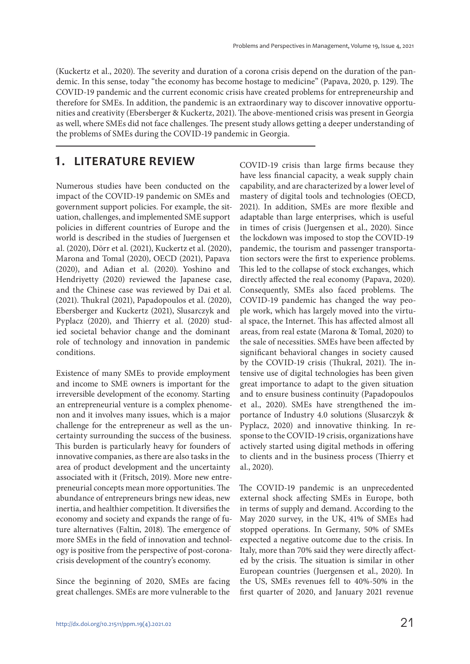(Kuckertz et al., 2020). The severity and duration of a corona crisis depend on the duration of the pandemic. In this sense, today "the economy has become hostage to medicine" (Papava, 2020, p. 129). The COVID-19 pandemic and the current economic crisis have created problems for entrepreneurship and therefore for SMEs. In addition, the pandemic is an extraordinary way to discover innovative opportunities and creativity (Ebersberger & Kuckertz, 2021). The above-mentioned crisis was present in Georgia as well, where SMEs did not face challenges. The present study allows getting a deeper understanding of the problems of SMEs during the COVID-19 pandemic in Georgia.

#### **1. LITERATURE REVIEW**

Numerous studies have been conducted on the impact of the COVID-19 pandemic on SMEs and government support policies. For example, the situation, challenges, and implemented SME support policies in different countries of Europe and the world is described in the studies of Juergensen et al. (2020), Dörr et al. (2021), Kuckertz et al. (2020), Marona and Tomal (2020), OECD (2021), Papava (2020), and Adian et al. (2020). Yoshino and Hendriyetty (2020) reviewed the Japanese case, and the Chinese case was reviewed by Dai et al. (2021). Thukral (2021), Papadopoulos et al. (2020), Ebersberger and Kuckertz (2021), Slusarczyk and Pyplacz (2020), and Thierry et al. (2020) studied societal behavior change and the dominant role of technology and innovation in pandemic conditions.

Existence of many SMEs to provide employment and income to SME owners is important for the irreversible development of the economy. Starting an entrepreneurial venture is a complex phenomenon and it involves many issues, which is a major challenge for the entrepreneur as well as the uncertainty surrounding the success of the business. This burden is particularly heavy for founders of innovative companies, as there are also tasks in the area of product development and the uncertainty associated with it (Fritsch, 2019). More new entrepreneurial concepts mean more opportunities. The abundance of entrepreneurs brings new ideas, new inertia, and healthier competition. It diversifies the economy and society and expands the range of future alternatives (Faltin, 2018). The emergence of more SMEs in the field of innovation and technology is positive from the perspective of post-coronacrisis development of the country's economy.

Since the beginning of 2020, SMEs are facing great challenges. SMEs are more vulnerable to the

COVID-19 crisis than large firms because they have less financial capacity, a weak supply chain capability, and are characterized by a lower level of mastery of digital tools and technologies (OECD, 2021). In addition, SMEs are more flexible and adaptable than large enterprises, which is useful in times of crisis (Juergensen et al., 2020). Since the lockdown was imposed to stop the COVID-19 pandemic, the tourism and passenger transportation sectors were the first to experience problems. This led to the collapse of stock exchanges, which directly affected the real economy (Papava, 2020). Consequently, SMEs also faced problems. The COVID-19 pandemic has changed the way people work, which has largely moved into the virtual space, the Internet. This has affected almost all areas, from real estate (Marona & Tomal, 2020) to the sale of necessities. SMEs have been affected by significant behavioral changes in society caused by the COVID-19 crisis (Thukral, 2021). The intensive use of digital technologies has been given great importance to adapt to the given situation and to ensure business continuity (Papadopoulos et al., 2020). SMEs have strengthened the importance of Industry 4.0 solutions (Slusarczyk & Pyplacz, 2020) and innovative thinking. In response to the COVID-19 crisis, organizations have actively started using digital methods in offering to clients and in the business process (Thierry et al., 2020).

The COVID-19 pandemic is an unprecedented external shock affecting SMEs in Europe, both in terms of supply and demand. According to the May 2020 survey, in the UK, 41% of SMEs had stopped operations. In Germany, 50% of SMEs expected a negative outcome due to the crisis. In Italy, more than 70% said they were directly affected by the crisis. The situation is similar in other European countries (Juergensen et al., 2020). In the US, SMEs revenues fell to 40%-50% in the first quarter of 2020, and January 2021 revenue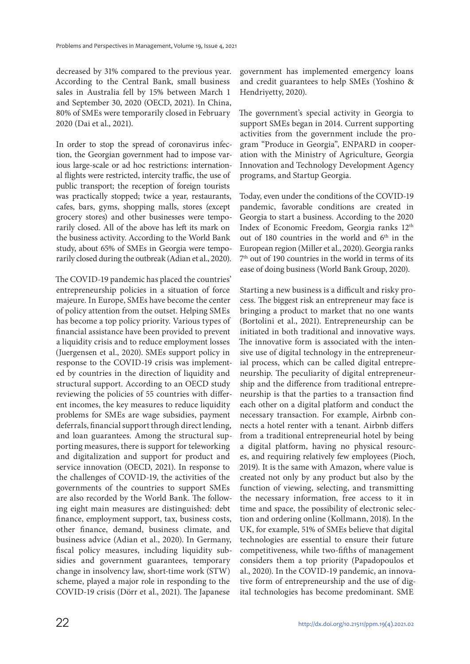decreased by 31% compared to the previous year. According to the Central Bank, small business sales in Australia fell by 15% between March 1 and September 30, 2020 (OECD, 2021). In China, 80% of SMEs were temporarily closed in February 2020 (Dai et al., 2021).

In order to stop the spread of coronavirus infection, the Georgian government had to impose various large-scale or ad hoc restrictions: international flights were restricted, intercity traffic, the use of public transport; the reception of foreign tourists was practically stopped; twice a year, restaurants, cafes, bars, gyms, shopping malls, stores (except grocery stores) and other businesses were temporarily closed. All of the above has left its mark on the business activity. According to the World Bank study, about 65% of SMEs in Georgia were temporarily closed during the outbreak (Adian et al., 2020).

The COVID-19 pandemic has placed the countries' entrepreneurship policies in a situation of force majeure. In Europe, SMEs have become the center of policy attention from the outset. Helping SMEs has become a top policy priority. Various types of financial assistance have been provided to prevent a liquidity crisis and to reduce employment losses (Juergensen et al., 2020). SMEs support policy in response to the COVID-19 crisis was implemented by countries in the direction of liquidity and structural support. According to an OECD study reviewing the policies of 55 countries with different incomes, the key measures to reduce liquidity problems for SMEs are wage subsidies, payment deferrals, financial support through direct lending, and loan guarantees. Among the structural supporting measures, there is support for teleworking and digitalization and support for product and service innovation (OECD, 2021). In response to the challenges of COVID-19, the activities of the governments of the countries to support SMEs are also recorded by the World Bank. The following eight main measures are distinguished: debt finance, employment support, tax, business costs, other finance, demand, business climate, and business advice (Adian et al., 2020). In Germany, fiscal policy measures, including liquidity subsidies and government guarantees, temporary change in insolvency law, short-time work (STW) scheme, played a major role in responding to the COVID-19 crisis (Dörr et al., 2021). The Japanese

government has implemented emergency loans and credit guarantees to help SMEs (Yoshino & Hendriyetty, 2020).

The government's special activity in Georgia to support SMEs began in 2014. Current supporting activities from the government include the program "Produce in Georgia", ENPARD in cooperation with the Ministry of Agriculture, Georgia Innovation and Technology Development Agency programs, and Startup Georgia.

Today, even under the conditions of the COVID-19 pandemic, favorable conditions are created in Georgia to start a business. According to the 2020 Index of Economic Freedom, Georgia ranks 12th out of 180 countries in the world and  $6<sup>th</sup>$  in the European region (Miller et al., 2020). Georgia ranks 7 th out of 190 countries in the world in terms of its ease of doing business (World Bank Group, 2020).

Starting a new business is a difficult and risky process. The biggest risk an entrepreneur may face is bringing a product to market that no one wants (Bortolini et al., 2021). Entrepreneurship can be initiated in both traditional and innovative ways. The innovative form is associated with the intensive use of digital technology in the entrepreneurial process, which can be called digital entrepreneurship. The peculiarity of digital entrepreneurship and the difference from traditional entrepreneurship is that the parties to a transaction find each other on a digital platform and conduct the necessary transaction. For example, Airbnb connects a hotel renter with a tenant. Airbnb differs from a traditional entrepreneurial hotel by being a digital platform, having no physical resources, and requiring relatively few employees (Pioch, 2019). It is the same with Amazon, where value is created not only by any product but also by the function of viewing, selecting, and transmitting the necessary information, free access to it in time and space, the possibility of electronic selection and ordering online (Kollmann, 2018). In the UK, for example, 51% of SMEs believe that digital technologies are essential to ensure their future competitiveness, while two-fifths of management considers them a top priority (Papadopoulos et al., 2020). In the COVID-19 pandemic, an innovative form of entrepreneurship and the use of digital technologies has become predominant. SME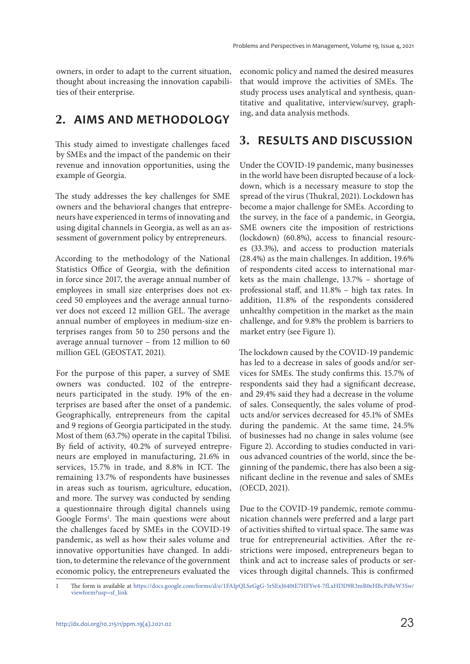owners, in order to adapt to the current situation, thought about increasing the innovation capabilities of their enterprise.

#### **2. AIMS AND METHODOLOGY**

This study aimed to investigate challenges faced by SMEs and the impact of the pandemic on their revenue and innovation opportunities, using the example of Georgia.

The study addresses the key challenges for SME owners and the behavioral changes that entrepreneurs have experienced in terms of innovating and using digital channels in Georgia, as well as an assessment of government policy by entrepreneurs.

According to the methodology of the National Statistics Office of Georgia, with the definition in force since 2017, the average annual number of employees in small size enterprises does not exceed 50 employees and the average annual turnover does not exceed 12 million GEL. The average annual number of employees in medium-size enterprises ranges from 50 to 250 persons and the average annual turnover – from 12 million to 60 million GEL (GEOSTAT, 2021).

For the purpose of this paper, a survey of SME owners was conducted. 102 of the entrepreneurs participated in the study. 19% of the enterprises are based after the onset of a pandemic. Geographically, entrepreneurs from the capital and 9 regions of Georgia participated in the study. Most of them (63.7%) operate in the capital Tbilisi. By field of activity, 40.2% of surveyed entrepreneurs are employed in manufacturing, 21.6% in services, 15.7% in trade, and 8.8% in ICT. The remaining 13.7% of respondents have businesses in areas such as tourism, agriculture, education, and more. The survey was conducted by sending a questionnaire through digital channels using Google Forms<sup>1</sup>. The main questions were about the challenges faced by SMEs in the COVID-19 pandemic, as well as how their sales volume and innovative opportunities have changed. In addition, to determine the relevance of the government economic policy, the entrepreneurs evaluated the

economic policy and named the desired measures that would improve the activities of SMEs. The study process uses analytical and synthesis, quantitative and qualitative, interview/survey, graphing, and data analysis methods.

## **3. RESULTS AND DISCUSSION**

Under the COVID-19 pandemic, many businesses in the world have been disrupted because of a lockdown, which is a necessary measure to stop the spread of the virus (Thukral, 2021). Lockdown has become a major challenge for SMEs. According to the survey, in the face of a pandemic, in Georgia, SME owners cite the imposition of restrictions (lockdown) (60.8%), access to financial resources (33.3%), and access to production materials (28.4%) as the main challenges. In addition, 19.6% of respondents cited access to international markets as the main challenge, 13.7% – shortage of professional staff, and 11.8% – high tax rates. In addition, 11.8% of the respondents considered unhealthy competition in the market as the main challenge, and for 9.8% the problem is barriers to market entry (see Figure 1).

The lockdown caused by the COVID-19 pandemic has led to a decrease in sales of goods and/or services for SMEs. The study confirms this. 15.7% of respondents said they had a significant decrease, and 29.4% said they had a decrease in the volume of sales. Consequently, the sales volume of products and/or services decreased for 45.1% of SMEs during the pandemic. At the same time, 24.5% of businesses had no change in sales volume (see Figure 2). According to studies conducted in various advanced countries of the world, since the beginning of the pandemic, there has also been a significant decline in the revenue and sales of SMEs (OECD, 2021).

Due to the COVID-19 pandemic, remote communication channels were preferred and a large part of activities shifted to virtual space. The same was true for entrepreneurial activities. After the restrictions were imposed, entrepreneurs began to think and act to increase sales of products or services through digital channels. This is confirmed

<sup>1</sup> The form is available at https://docs.google.com/forms/d/e/1FAIpQLSeGgG-5rSExJ640tE7HFYw4-7fLxHDD9R3mR0eHBcPiBeW3Sw/ viewform?usp=sf\_link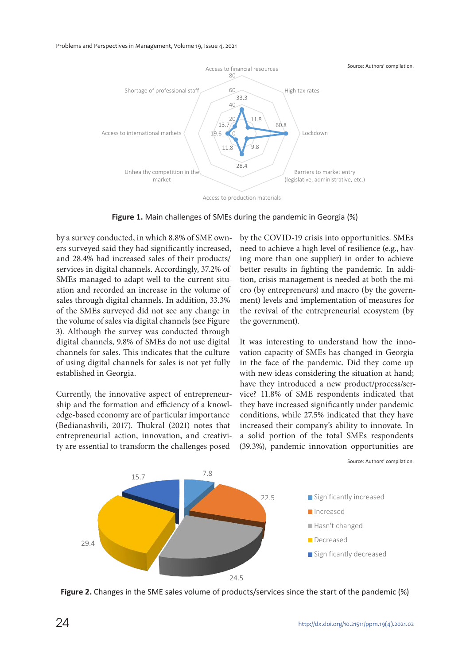

Access to production materials

**Figure 1.** Main challenges of SMEs during the pandemic in Georgia (%)

by a survey conducted, in which 8.8% of SME owners surveyed said they had significantly increased, and 28.4% had increased sales of their products/ services in digital channels. Accordingly, 37.2% of SMEs managed to adapt well to the current situation and recorded an increase in the volume of sales through digital channels. In addition, 33.3% of the SMEs surveyed did not see any change in the volume of sales via digital channels (see Figure 3). Although the survey was conducted through digital channels, 9.8% of SMEs do not use digital channels for sales. This indicates that the culture of using digital channels for sales is not yet fully established in Georgia.

Currently, the innovative aspect of entrepreneurship and the formation and efficiency of a knowledge-based economy are of particular importance (Bedianashvili, 2017). Thukral (2021) notes that entrepreneurial action, innovation, and creativity are essential to transform the challenges posed

by the COVID-19 crisis into opportunities. SMEs need to achieve a high level of resilience (e.g., having more than one supplier) in order to achieve better results in fighting the pandemic. In addition, crisis management is needed at both the micro (by entrepreneurs) and macro (by the government) levels and implementation of measures for the revival of the entrepreneurial ecosystem (by the government).

It was interesting to understand how the innovation capacity of SMEs has changed in Georgia in the face of the pandemic. Did they come up with new ideas considering the situation at hand; have they introduced a new product/process/service? 11.8% of SME respondents indicated that they have increased significantly under pandemic conditions, while 27.5% indicated that they have increased their company's ability to innovate. In a solid portion of the total SMEs respondents (39.3%), pandemic innovation opportunities are



**Figure 2.** Changes in the SME sales volume of products/services since the start of the pandemic (%)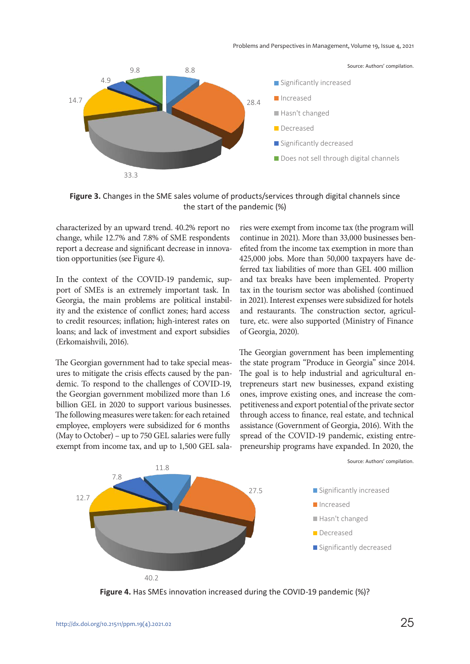

**Figure 3.** Changes in the SME sales volume of products/services through digital channels since the start of the pandemic (%)

characterized by an upward trend. 40.2% report no change, while 12.7% and 7.8% of SME respondents report a decrease and significant decrease in innovation opportunities (see Figure 4).

In the context of the COVID-19 pandemic, support of SMEs is an extremely important task. In Georgia, the main problems are political instability and the existence of conflict zones; hard access to credit resources; inflation; high-interest rates on loans; and lack of investment and export subsidies (Erkomaishvili, 2016).

The Georgian government had to take special measures to mitigate the crisis effects caused by the pandemic. To respond to the challenges of COVID-19, the Georgian government mobilized more than 1.6 billion GEL in 2020 to support various businesses. The following measures were taken: for each retained employee, employers were subsidized for 6 months (May to October) – up to 750 GEL salaries were fully exempt from income tax, and up to 1,500 GEL salaries were exempt from income tax (the program will continue in 2021). More than 33,000 businesses benefited from the income tax exemption in more than 425,000 jobs. More than 50,000 taxpayers have deferred tax liabilities of more than GEL 400 million and tax breaks have been implemented. Property tax in the tourism sector was abolished (continued in 2021). Interest expenses were subsidized for hotels and restaurants. The construction sector, agriculture, etc. were also supported (Ministry of Finance of Georgia, 2020).

The Georgian government has been implementing the state program "Produce in Georgia" since 2014. The goal is to help industrial and agricultural entrepreneurs start new businesses, expand existing ones, improve existing ones, and increase the competitiveness and export potential of the private sector through access to finance, real estate, and technical assistance (Government of Georgia, 2016). With the spread of the COVID-19 pandemic, existing entrepreneurship programs have expanded. In 2020, the



**Figure 4.** Has SMEs innovation increased during the COVID-19 pandemic (%)?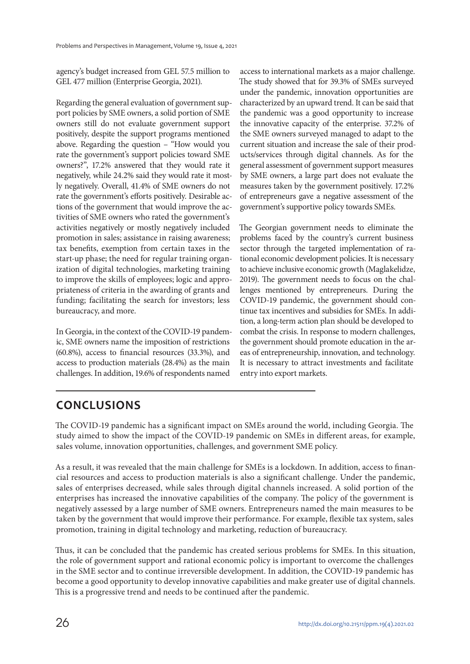agency's budget increased from GEL 57.5 million to GEL 477 million (Enterprise Georgia, 2021).

Regarding the general evaluation of government support policies by SME owners, a solid portion of SME owners still do not evaluate government support positively, despite the support programs mentioned above. Regarding the question – "How would you rate the government's support policies toward SME owners?", 17.2% answered that they would rate it negatively, while 24.2% said they would rate it mostly negatively. Overall, 41.4% of SME owners do not rate the government's efforts positively. Desirable actions of the government that would improve the activities of SME owners who rated the government's activities negatively or mostly negatively included promotion in sales; assistance in raising awareness; tax benefits, exemption from certain taxes in the start-up phase; the need for regular training organization of digital technologies, marketing training to improve the skills of employees; logic and appropriateness of criteria in the awarding of grants and funding; facilitating the search for investors; less bureaucracy, and more.

In Georgia, in the context of the COVID-19 pandemic, SME owners name the imposition of restrictions (60.8%), access to financial resources (33.3%), and access to production materials (28.4%) as the main challenges. In addition, 19.6% of respondents named

access to international markets as a major challenge. The study showed that for 39.3% of SMEs surveyed under the pandemic, innovation opportunities are characterized by an upward trend. It can be said that the pandemic was a good opportunity to increase the innovative capacity of the enterprise. 37.2% of the SME owners surveyed managed to adapt to the current situation and increase the sale of their products/services through digital channels. As for the general assessment of government support measures by SME owners, a large part does not evaluate the measures taken by the government positively. 17.2% of entrepreneurs gave a negative assessment of the government's supportive policy towards SMEs.

The Georgian government needs to eliminate the problems faced by the country's current business sector through the targeted implementation of rational economic development policies. It is necessary to achieve inclusive economic growth (Maglakelidze, 2019). The government needs to focus on the challenges mentioned by entrepreneurs. During the COVID-19 pandemic, the government should continue tax incentives and subsidies for SMEs. In addition, a long-term action plan should be developed to combat the crisis. In response to modern challenges, the government should promote education in the areas of entrepreneurship, innovation, and technology. It is necessary to attract investments and facilitate entry into export markets.

## **CONCLUSIONS**

The COVID-19 pandemic has a significant impact on SMEs around the world, including Georgia. The study aimed to show the impact of the COVID-19 pandemic on SMEs in different areas, for example, sales volume, innovation opportunities, challenges, and government SME policy.

As a result, it was revealed that the main challenge for SMEs is a lockdown. In addition, access to financial resources and access to production materials is also a significant challenge. Under the pandemic, sales of enterprises decreased, while sales through digital channels increased. A solid portion of the enterprises has increased the innovative capabilities of the company. The policy of the government is negatively assessed by a large number of SME owners. Entrepreneurs named the main measures to be taken by the government that would improve their performance. For example, flexible tax system, sales promotion, training in digital technology and marketing, reduction of bureaucracy.

Thus, it can be concluded that the pandemic has created serious problems for SMEs. In this situation, the role of government support and rational economic policy is important to overcome the challenges in the SME sector and to continue irreversible development. In addition, the COVID-19 pandemic has become a good opportunity to develop innovative capabilities and make greater use of digital channels. This is a progressive trend and needs to be continued after the pandemic.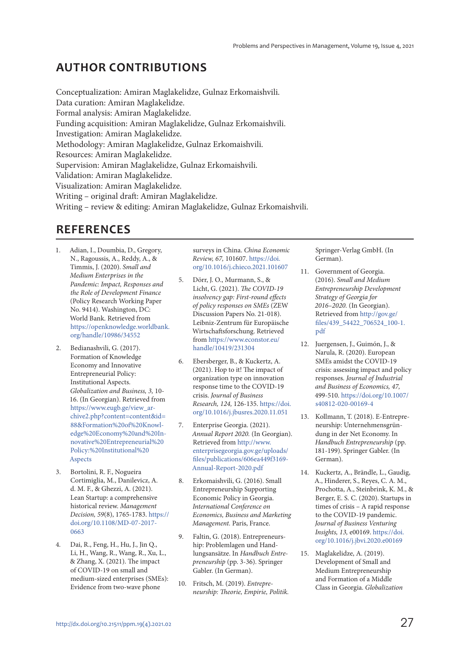## **AUTHOR CONTRIBUTIONS**

Conceptualization: Amiran Maglakelidze, Gulnaz Erkomaishvili. Data curation: Amiran Maglakelidze. Formal analysis: Amiran Maglakelidze. Funding acquisition: Amiran Maglakelidze, Gulnaz Erkomaishvili. Investigation: Amiran Maglakelidze. Methodology: Amiran Maglakelidze, Gulnaz Erkomaishvili. Resources: Amiran Maglakelidze. Supervision: Amiran Maglakelidze, Gulnaz Erkomaishvili. Validation: Amiran Maglakelidze. Visualization: Amiran Maglakelidze. Writing – original draft: Amiran Maglakelidze. Writing – review & editing: Amiran Maglakelidze, Gulnaz Erkomaishvili.

#### **REFERENCES**

- 1. Adian, I., Doumbia, D., Gregory, N., Ragoussis, A., Reddy, A., & Timmis, J. (2020). Small and Medium Enterprises in the Pandemic: Impact, Responses and the Role of Development Finance (Policy Research Working Paper No. 9414). Washington, DC: World Bank. Retrieved from https://openknowledge.worldbank. org/handle/10986/34552
- 2. Bedianashvili, G. (2017). Formation of Knowledge Economy and Innovative Entrepreneurial Policy: Institutional Aspects. Globalization and Business, 3, 10- 16. (In Georgian). Retrieved from https://www.eugb.ge/view\_archive2.php?content=content&id= 88&Formation%20of%20Knowledge%20Economy%20and%20Innovative%20Entrepreneurial%20 Policy:%20Institutional%20 Aspects
- 3. Bortolini, R. F., Nogueira Cortimiglia, M., Danilevicz, A. d. M. F., & Ghezzi, A. (2021). Lean Startup: a comprehensive historical review. Management Decision, 59(8), 1765-1783. https:// doi.org/10.1108/MD-07-2017- 0663
- 4. Dai, R., Feng, H., Hu, J., Jin Q., Li, H., Wang, R., Wang, R., Xu, L., & Zhang, X. (2021). The impact of COVID-19 on small and medium-sized enterprises (SMEs): Evidence from two-wave phone

surveys in China. China Economic Review, 67, 101607. https://doi. org/10.1016/j.chieco.2021.101607

- 5. Dörr, J. O., Murmann, S., & Licht, G. (2021). The COVID-19 insolvency gap: First-round effects of policy responses on SMEs (ZEW Discussion Papers No. 21-018). Leibniz-Zentrum für Europäische Wirtschaftsforschung. Retrieved from https://www.econstor.eu/ handle/10419/231304
- 6. Ebersberger, B., & Kuckertz, A. (2021). Hop to it! The impact of organization type on innovation response time to the COVID-19 crisis. Journal of Business Research, 124, 126-135. https://doi. org/10.1016/j.jbusres.2020.11.051
- 7. Enterprise Georgia. (2021). Annual Report 2020. (In Georgian). Retrieved from http://www. enterprisegeorgia.gov.ge/uploads/ files/publications/606ea449f3169- Annual-Report-2020.pdf
- 8. Erkomaishvili, G. (2016). Small Entrepreneurship Supporting Economic Policy in Georgia. International Conference on Economics, Business and Marketing Management. Paris, France.
- 9. Faltin, G. (2018). Entrepreneurship: Problemlagen und Handlungsansätze. In Handbuch Entrepreneurship (pp. 3-36). Springer Gabler. (In German).
- 10. Fritsch, M. (2019). Entrepreneurship: Theorie, Empirie, Politik.

Springer-Verlag GmbH. (In German).

- 11. Government of Georgia. (2016). Small and Medium Entrepreneurship Development Strategy of Georgia for 2016–2020. (In Georgian). Retrieved from http://gov.ge/ files/439\_54422\_706524\_100-1. pdf
- 12. Juergensen, J., Guimón, J., & Narula, R. (2020). European SMEs amidst the COVID-19 crisis: assessing impact and policy responses. Journal of Industrial and Business of Economics, 47, 499-510. https://doi.org/10.1007/ s40812-020-00169-4
- 13. Kollmann, T. (2018). E-Entrepreneurship: Unternehmensgründung in der Net Economy. In Handbuch Entrepreneurship (pp. 181-199). Springer Gabler. (In German).
- 14. Kuckertz, A., Brändle, L., Gaudig, A., Hinderer, S., Reyes, C. A. M., Prochotta, A., Steinbrink, K. M., & Berger, E. S. C. (2020). Startups in times of crisis – A rapid response to the COVID-19 pandemic. Journal of Business Venturing Insights, 13, e00169. https://doi. org/10.1016/j.jbvi.2020.e00169
- 15. Maglakelidze, A. (2019). Development of Small and Medium Entrepreneurship and Formation of a Middle Class in Georgia. Globalization